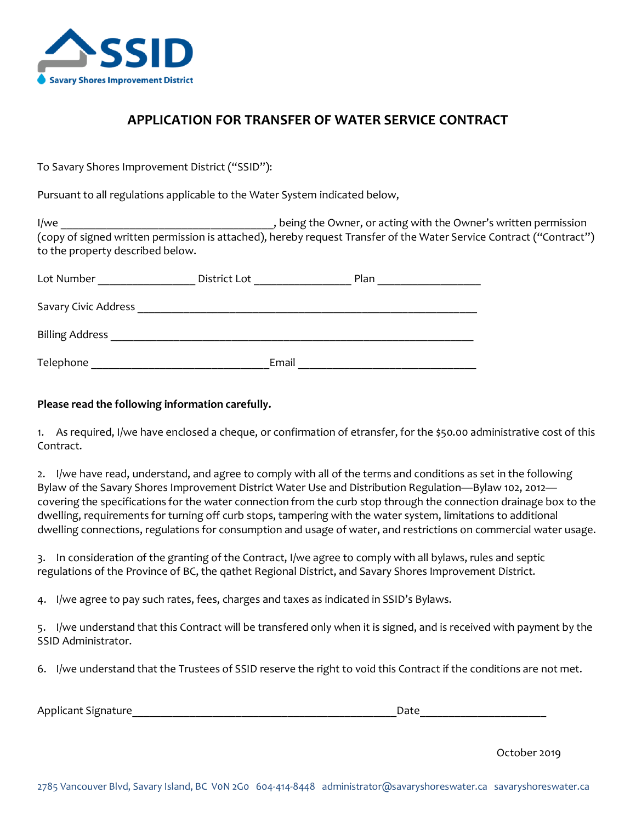

# **APPLICATION FOR TRANSFER OF WATER SERVICE CONTRACT**

To Savary Shores Improvement District ("SSID"):

Pursuant to all regulations applicable to the Water System indicated below,

I/we lowner, or acting with the Owner's written permission (copy of signed written permission is attached), hereby request Transfer of the Water Service Contract ("Contract") to the property described below.

| Lot Number             | District Lot | Plan |
|------------------------|--------------|------|
| Savary Civic Address   |              |      |
| <b>Billing Address</b> |              |      |
| Telephone              | Email        |      |

### **Please read the following information carefully.**

1. As required, I/we have enclosed a cheque, or confirmation of etransfer, for the \$50.00 administrative cost of this Contract.

2. I/we have read, understand, and agree to comply with all of the terms and conditions as set in the following Bylaw of the Savary Shores Improvement District Water Use and Distribution Regulation—Bylaw 102, 2012 covering the specifications for the water connection from the curb stop through the connection drainage box to the dwelling, requirements for turning off curb stops, tampering with the water system, limitations to additional dwelling connections, regulations for consumption and usage of water, and restrictions on commercial water usage.

3. In consideration of the granting of the Contract, I/we agree to comply with all bylaws, rules and septic regulations of the Province of BC, the qathet Regional District, and Savary Shores Improvement District.

4. I/we agree to pay such rates, fees, charges and taxes as indicated in SSID's Bylaws.

5. I/we understand that this Contract will be transfered only when it is signed, and is received with payment by the SSID Administrator.

6. I/we understand that the Trustees of SSID reserve the right to void this Contract if the conditions are not met.

| Applicant Signature |  |
|---------------------|--|
|---------------------|--|

October 2019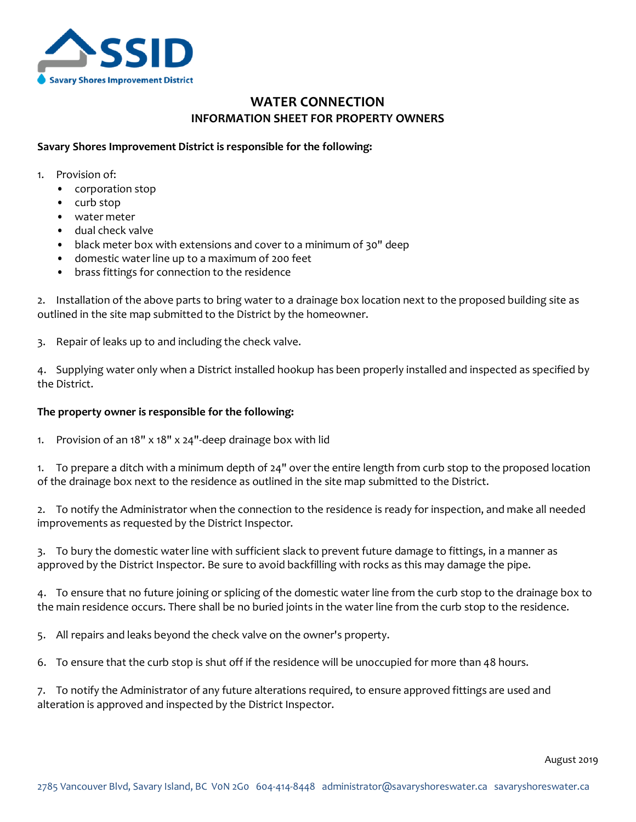

# **WATER CONNECTION INFORMATION SHEET FOR PROPERTY OWNERS**

#### **Savary Shores Improvement District is responsible for the following:**

- 1. Provision of:
	- corporation stop
	- curb stop
	- water meter
	- dual check valve
	- black meter box with extensions and cover to a minimum of 30" deep
	- domestic water line up to a maximum of 200 feet
	- brass fittings for connection to the residence

2. Installation of the above parts to bring water to a drainage box location next to the proposed building site as outlined in the site map submitted to the District by the homeowner.

3. Repair of leaks up to and including the check valve.

4. Supplying water only when a District installed hookup has been properly installed and inspected as specified by the District.

#### **The property owner is responsible for the following:**

1. Provision of an 18" x 18" x 24"-deep drainage box with lid

1. To prepare a ditch with a minimum depth of 24" over the entire length from curb stop to the proposed location of the drainage box next to the residence as outlined in the site map submitted to the District.

2. To notify the Administrator when the connection to the residence is ready for inspection, and make all needed improvements as requested by the District Inspector.

3. To bury the domestic water line with sufficient slack to prevent future damage to fittings, in a manner as approved by the District Inspector. Be sure to avoid backfilling with rocks as this may damage the pipe.

4. To ensure that no future joining or splicing of the domestic water line from the curb stop to the drainage box to the main residence occurs. There shall be no buried joints in the water line from the curb stop to the residence.

5. All repairs and leaks beyond the check valve on the owner's property.

6. To ensure that the curb stop is shut off if the residence will be unoccupied for more than 48 hours.

7. To notify the Administrator of any future alterations required, to ensure approved fittings are used and alteration is approved and inspected by the District Inspector.

August 2019